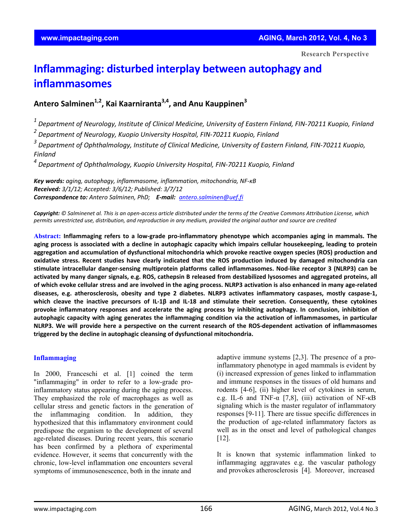**Research Perspective**

# **Inflammaging: disturbed interplay between autophagy and inflammasomes**

**Antero Salminen1,2, Kai Kaarniranta3,4, and Anu Kauppinen3**

 $1$  Department of Neurology, Institute of Clinical Medicine, University of Eastern Finland, FIN-70211 Kuopio, Finland

*<sup>2</sup> Department of Neurology, Kuopio University Hospital, FIN‐70211 Kuopio, Finland*

*<sup>3</sup> Department of Ophthalmology, Institute of Clinical Medicine, University of Eastern Finland, FIN‐70211 Kuopio, Finland*

*<sup>4</sup> Department of Ophthalmology, Kuopio University Hospital, FIN‐70211 Kuopio, Finland*

*Key words: aging, autophagy, inflammasome, inflammation, mitochondria, NF‐κB Received: 3/1/12; Accepted: 3/6/12; Published: 3/7/12 Correspondence to: Antero Salminen, PhD; E‐mail: antero.salminen@uef.fi*

Copyright: © Salminenet al. This is an open-access article distributed under the terms of the Creative Commons Attribution License, which permits unrestricted use, distribution, and reproduction in any medium, provided the original author and source are credited

Abstract: Inflammaging refers to a low-grade pro-inflammatory phenotype which accompanies aging in mammals. The aging process is associated with a decline in autophagic capacity which impairs cellular housekeeping, leading to protein **aggregation and accumulation of dysfunctional mitochondria which provoke reactive oxygen species (ROS) production and** oxidative stress. Recent studies have clearly indicated that the ROS production induced by damaged mitochondria can stimulate intracellular danger-sensing multiprotein platforms called inflammasomes. Nod-like receptor 3 (NLRP3) can be activated by many danger signals, e.g. ROS, cathepsin B released from destabilized lysosomes and aggregated proteins, all of which evoke cellular stress and are involved in the aging process. NLRP3 activation is also enhanced in many age-related diseases, e.g. atherosclerosis, obesity and type 2 diabetes. NLRP3 activates inflammatory caspases, mostly caspase-1, which cleave the inactive precursors of IL-1 $\beta$  and IL-18 and stimulate their secretion. Consequently, these cytokines **provoke inflammatory responses and accelerate the aging process by inhibiting autophagy. In conclusion, inhibition of autophagic capacity with aging generates the inflammaging condition via the activation of inflammasomes, in particular** NLRP3. We will provide here a perspective on the current research of the ROS-dependent activation of inflammasomes **triggered by the decline in autophagic cleansing of dysfunctional mitochondria.**

#### **Inflammaging**

In 2000, Franceschi et al. [1] coined the term "inflammaging" in order to refer to a low-grade proinflammatory status appearing during the aging process. They emphasized the role of macrophages as well as cellular stress and genetic factors in the generation of the inflammaging condition. In addition, they hypothesized that this inflammatory environment could predispose the organism to the development of several age-related diseases. During recent years, this scenario has been confirmed by a plethora of experimental evidence. However, it seems that concurrently with the chronic, low-level inflammation one encounters several symptoms of immunosenescence, both in the innate and

adaptive immune systems [2,3]. The presence of a proinflammatory phenotype in aged mammals is evident by (i) increased expression of genes linked to inflammation and immune responses in the tissues of old humans and rodents [4-6], (ii) higher level of cytokines in serum, e.g. IL-6 and TNF- $\alpha$  [7,8], (iii) activation of NF- $\kappa$ B signaling which is the master regulator of inflammatory responses [9-11]. There are tissue specific differences in the production of age-related inflammatory factors as well as in the onset and level of pathological changes [12].

It is known that systemic inflammation linked to inflammaging aggravates e.g. the vascular pathology and provokes atherosclerosis [4]. Moreover, increased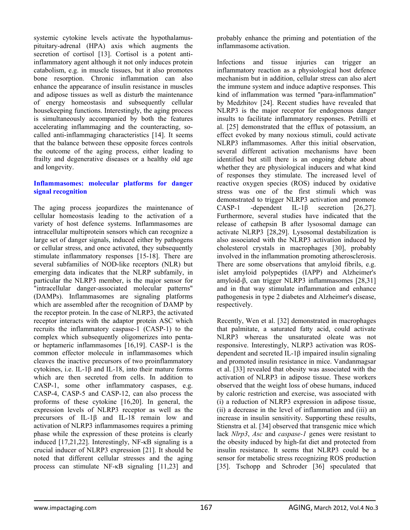systemic cytokine levels activate the hypothalamuspituitary-adrenal (HPA) axis which augments the secretion of cortisol [13]. Cortisol is a potent antiinflammatory agent although it not only induces protein catabolism, e.g. in muscle tissues, but it also promotes bone resorption. Chronic inflammation can also enhance the appearance of insulin resistance in muscles and adipose tissues as well as disturb the maintenance of energy homeostasis and subsequently cellular housekeeping functions. Interestingly, the aging process is simultaneously accompanied by both the features accelerating inflammaging and the counteracting, socalled anti-inflammaging characteristics [14]. It seems that the balance between these opposite forces controls the outcome of the aging process, either leading to frailty and degenerative diseases or a healthy old age and longevity.

#### **Inflammasomes: molecular platforms for danger signal recognition**

The aging process jeopardizes the maintenance of cellular homeostasis leading to the activation of a variety of host defence systems. Inflammasomes are intracellular multiprotein sensors which can recognize a large set of danger signals, induced either by pathogens or cellular stress, and once activated, they subsequently stimulate inflammatory responses [15-18]. There are several subfamilies of NOD-like receptors (NLR) but emerging data indicates that the NLRP subfamily, in particular the NLRP3 member, is the major sensor for "intracellular danger-associated molecular patterns" (DAMPs). Inflammasomes are signaling platforms which are assembled after the recognition of DAMP by the receptor protein. In the case of NLRP3, the activated receptor interacts with the adaptor protein ASC which recruits the inflammatory caspase-1 (CASP-1) to the complex which subsequently oligomerizes into pentaor heptameric inflammasomes [16,19]. CASP-1 is the common effector molecule in inflammasomes which cleaves the inactive precursors of two proinflammatory cytokines, i.e. IL-1β and IL-18, into their mature forms which are then secreted from cells. In addition to CASP-1, some other inflammatory caspases, e.g. CASP-4, CASP-5 and CASP-12, can also process the proforms of these cytokine [16,20]. In general, the expression levels of NLRP3 receptor as well as the precursors of IL-1β and IL-18 remain low and activation of NLRP3 inflammasomes requires a priming phase while the expression of these proteins is clearly induced [17,21,22]. Interestingly, NF-κB signaling is a crucial inducer of NLRP3 expression [21]. It should be noted that different cellular stresses and the aging process can stimulate NF-κB signaling [11,23] and

probably enhance the priming and potentiation of the inflammasome activation.

Infections and tissue injuries can trigger an inflammatory reaction as a physiological host defence mechanism but in addition, cellular stress can also alert the immune system and induce adaptive responses. This kind of inflammation was termed "para-inflammation" by Medzhitov [24]. Recent studies have revealed that NLRP3 is the major receptor for endogenous danger insults to facilitate inflammatory responses. Petrilli et al. [25] demonstrated that the efflux of potassium, an effect evoked by many noxious stimuli, could activate NLRP3 inflammasomes. After this initial observation, several different activation mechanisms have been identified but still there is an ongoing debate about whether they are physiological inducers and what kind of responses they stimulate. The increased level of reactive oxygen species (ROS) induced by oxidative stress was one of the first stimuli which was demonstrated to trigger NLRP3 activation and promote CASP-1 -dependent IL-1β secretion [26,27]. Furthermore, several studies have indicated that the release of cathepsin B after lysosomal damage can activate NLRP3 [28,29]. Lysosomal destabilization is also associated with the NLRP3 activation induced by cholesterol crystals in macrophages [30], probably involved in the inflammation promoting atherosclerosis. There are some observations that amyloid fibrils, e.g. islet amyloid polypeptides (IAPP) and Alzheimer's amyloid-β, can trigger NLRP3 inflammasomes [28,31] and in that way stimulate inflammation and enhance pathogenesis in type 2 diabetes and Alzheimer's disease, respectively.

Recently, Wen et al. [32] demonstrated in macrophages that palmitate, a saturated fatty acid, could activate NLRP3 whereas the unsaturated oleate was not responsive. Interestingly, NLRP3 activation was ROSdependent and secreted IL-1β impaired insulin signaling and promoted insulin resistance in mice. Vandanmagsar et al. [33] revealed that obesity was associated with the activation of NLRP3 in adipose tissue. These workers observed that the weight loss of obese humans, induced by caloric restriction and exercise, was associated with (i) a reduction of NLRP3 expression in adipose tissue, (ii) a decrease in the level of inflammation and (iii) an increase in insulin sensitivity. Supporting these results, Stienstra et al. [34] observed that transgenic mice which lack *Nlrp3*, *Asc* and *caspase-1* genes were resistant to the obesity induced by high-fat diet and protected from insulin resistance. It seems that NLRP3 could be a sensor for metabolic stress recognizing ROS production [35]. Tschopp and Schroder [36] speculated that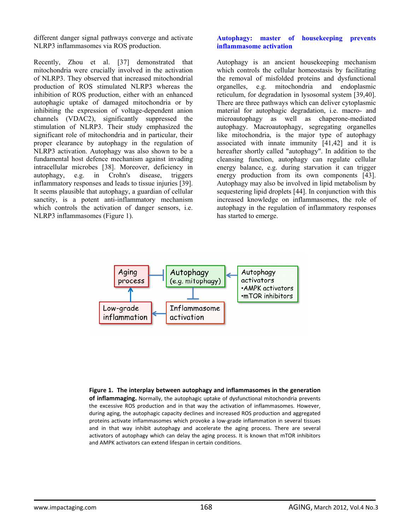different danger signal pathways converge and activate NLRP3 inflammasomes via ROS production.

Recently, Zhou et al. [37] demonstrated that mitochondria were crucially involved in the activation of NLRP3. They observed that increased mitochondrial production of ROS stimulated NLRP3 whereas the inhibition of ROS production, either with an enhanced autophagic uptake of damaged mitochondria or by inhibiting the expression of voltage-dependent anion channels (VDAC2), significantly suppressed the stimulation of NLRP3. Their study emphasized the significant role of mitochondria and in particular, their proper clearance by autophagy in the regulation of NLRP3 activation. Autophagy was also shown to be a fundamental host defence mechanism against invading intracellular microbes [38]. Moreover, deficiency in autophagy, e.g. in Crohn's disease, triggers inflammatory responses and leads to tissue injuries [39]. It seems plausible that autophagy, a guardian of cellular sanctity, is a potent anti-inflammatory mechanism which controls the activation of danger sensors, i.e. NLRP3 inflammasomes (Figure 1).

#### **Autophagy: master of housekeeping prevents inflammasome activation**

Autophagy is an ancient housekeeping mechanism which controls the cellular homeostasis by facilitating the removal of misfolded proteins and dysfunctional organelles, e.g. mitochondria and endoplasmic reticulum, for degradation in lysosomal system [39,40]. There are three pathways which can deliver cytoplasmic material for autophagic degradation, i.e. macro- and microautophagy as well as chaperone-mediated autophagy. Macroautophagy, segregating organelles like mitochondria, is the major type of autophagy associated with innate immunity [41,42] and it is hereafter shortly called "autophagy". In addition to the cleansing function, autophagy can regulate cellular energy balance, e.g. during starvation it can trigger energy production from its own components [43]. Autophagy may also be involved in lipid metabolism by sequestering lipid droplets [44]. In conjunction with this increased knowledge on inflammasomes, the role of autophagy in the regulation of inflammatory responses has started to emerge.



#### **Figure 1. The interplay between autophagy and inflammasomes in the generation of inflammaging.** Normally, the autophagic uptake of dysfunctional mitochondria prevents the excessive ROS production and in that way the activation of inflammasomes. However, during aging, the autophagic capacity declines and increased ROS production and aggregated proteins activate inflammasomes which provoke a low‐grade inflammation in several tissues and in that way inhibit autophagy and accelerate the aging process. There are several activators of autophagy which can delay the aging process. It is known that mTOR inhibitors and AMPK activators can extend lifespan in certain conditions.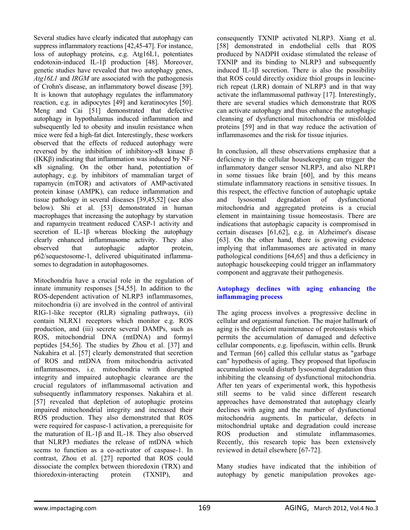Several studies have clearly indicated that autophagy can suppress inflammatory reactions [42,45-47]. For instance, loss of autophagy proteins, e.g. Atg16L1, potentiates endotoxin-induced IL-1β production [48]. Moreover, genetic studies have revealed that two autophagy genes, *Atg16L1* and *IRGM* are associated with the pathogenesis of Crohn's disease, an inflammatory bowel disease [39]. It is known that autophagy regulates the inflammatory reaction, e.g. in adipocytes [49] and keratinocytes [50]. Meng and Cai [51] demonstrated that defective autophagy in hypothalamus induced inflammation and subsequently led to obesity and insulin resistance when mice were fed a high-fat diet. Interestingly, these workers observed that the effects of reduced autophagy were reversed by the inhibition of inhibitory-κB kinase β (IKKβ) indicating that inflammation was induced by NFκB signaling. On the other hand, potentiation of autophagy, e.g. by inhibitors of mammalian target of rapamycin (mTOR) and activators of AMP-activated protein kinase (AMPK), can reduce inflammation and tissue pathology in several diseases [39,45,52] (see also below). Shi et al. [53] demonstrated in human macrophages that increasing the autophagy by starvation and rapamycin treatment reduced CASP-1 activity and secretion of IL-1β whereas blocking the autophagy clearly enhanced inflammasome activity. They also observed that autophagic adaptor protein, p62/sequestosome-1, delivered ubiquitinated inflammasomes to degradation in autophagosomes.

Mitochondria have a crucial role in the regulation of innate immunity responses [54,55]. In addition to the ROS-dependent activation of NLRP3 inflammasomes, mitochondria (i) are involved in the control of antiviral RIG-1-like receptor (RLR) signaling pathways, (ii) contain NLRX1 receptors which monitor e.g. ROS production, and (iii) secrete several DAMPs, such as ROS, mitochondrial DNA (mtDNA) and formyl peptides [54,56]. The studies by Zhou et al. [37] and Nakahira et al. [57] clearly demonstrated that secretion of ROS and mtDNA from mitochondria activated inflammasomes, i.e. mitochondria with disrupted integrity and impaired autophagic clearance are the crucial regulators of inflammasomal activation and subsequently inflammatory responses. Nakahira et al. [57] revealed that depletion of autophagic proteins impaired mitochondrial integrity and increased their ROS production. They also demonstrated that ROS were required for caspase-1 activation, a prerequisite for the maturation of IL-1β and IL-18. They also observed that NLRP3 mediates the release of mtDNA which seems to function as a co-activator of caspase-1. In contrast, Zhou et al. [27] reported that ROS could dissociate the complex between thioredoxin (TRX) and thioredoxin-interacting protein (TXNIP), and

consequently TXNIP activated NLRP3. Xiang et al. [58] demonstrated in endothelial cells that ROS produced by NADPH oxidase stimulated the release of TXNIP and its binding to NLRP3 and subsequently induced IL-1 $\beta$  secretion. There is also the possibility that ROS could directly oxidize thiol groups in leucinerich repeat (LRR) domain of NLRP3 and in that way activate the inflammasomal pathway [17]. Interestingly, there are several studies which demonstrate that ROS can activate autophagy and thus enhance the autophagic cleansing of dysfunctional mitochondria or misfolded proteins [59] and in that way reduce the activation of inflammasomes and the risk for tissue injuries.

In conclusion, all these observations emphasize that a deficiency in the cellular housekeeping can trigger the inflammatory danger sensor NLRP3, and also NLRP1 in some tissues like brain [60], and by this means stimulate inflammatory reactions in sensitive tissues. In this respect, the effective function of autophagic uptake and lysosomal degradation of dysfunctional mitochondria and aggregated proteins is a crucial element in maintaining tissue homeostasis. There are indications that autophagic capacity is compromised in certain diseases [61,62], e.g. in Alzheimer's disease [63]. On the other hand, there is growing evidence implying that inflammasomes are activated in many pathological conditions [64,65] and thus a deficiency in autophagic housekeeping could trigger an inflammatory component and aggravate their pathogenesis.

# **Autophagy declines with aging enhancing the inflammaging process**

The aging process involves a progressive decline in cellular and organismal function. The major hallmark of aging is the deficient maintenance of proteostasis which permits the accumulation of damaged and defective cellular components, e.g. lipofuscin, within cells. Brunk and Terman [66] called this cellular status as "garbage can" hypothesis of aging. They proposed that lipofuscin accumulation would disturb lysosomal degradation thus inhibiting the cleansing of dysfunctional mitochondria. After ten years of experimental work, this hypothesis still seems to be valid since different research approaches have demonstrated that autophagy clearly declines with aging and the number of dysfunctional mitochondria augments. In particular, defects in mitochondrial uptake and degradation could increase ROS production and stimulate inflammasomes. Recently, this research topic has been extensively reviewed in detail elsewhere [67-72].

Many studies have indicated that the inhibition of autophagy by genetic manipulation provokes age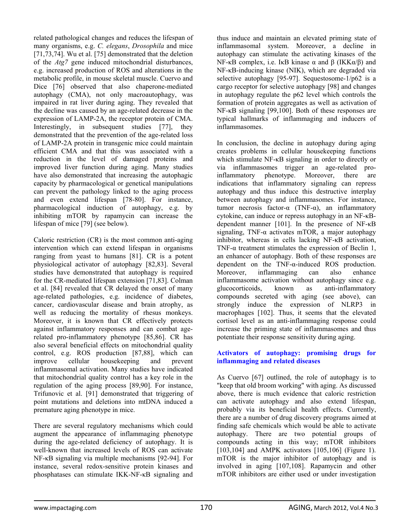related pathological changes and reduces the lifespan of many organisms, e.g. *C. elegans*, *Drosophila* and mice [71,73,74]. Wu et al. [75] demonstrated that the deletion of the *Atg7* gene induced mitochondrial disturbances, e.g. increased production of ROS and alterations in the metabolic profile, in mouse skeletal muscle. Cuervo and Dice [76] observed that also chaperone-mediated autophagy (CMA), not only macroautophagy, was impaired in rat liver during aging. They revealed that the decline was caused by an age-related decrease in the expression of LAMP-2A, the receptor protein of CMA. Interestingly, in subsequent studies [77], they demonstrated that the prevention of the age-related loss of LAMP-2A protein in transgenic mice could maintain efficient CMA and that this was associated with a reduction in the level of damaged proteins and improved liver function during aging. Many studies have also demonstrated that increasing the autophagic capacity by pharmacological or genetical manipulations can prevent the pathology linked to the aging process and even extend lifespan [78-80]. For instance, pharmacological induction of autophagy, e.g. by inhibiting mTOR by rapamycin can increase the lifespan of mice [79] (see below).

Caloric restriction (CR) is the most common anti-aging intervention which can extend lifespan in organisms ranging from yeast to humans [81]. CR is a potent physiological activator of autophagy [82,83]. Several studies have demonstrated that autophagy is required for the CR-mediated lifespan extension [71,83]. Colman et al. [84] revealed that CR delayed the onset of many age-related pathologies, e.g. incidence of diabetes, cancer, cardiovascular disease and brain atrophy, as well as reducing the mortality of rhesus monkeys. Moreover, it is known that CR effectively protects against inflammatory responses and can combat agerelated pro-inflammatory phenotype [85,86]. CR has also several beneficial effects on mitochondrial quality control, e.g. ROS production [87,88], which can improve cellular housekeeping and prevent inflammasomal activation. Many studies have indicated that mitochondrial quality control has a key role in the regulation of the aging process [89,90]. For instance, Trifunovic et al. [91] demonstrated that triggering of point mutations and deletions into mtDNA induced a premature aging phenotype in mice.

There are several regulatory mechanisms which could augment the appearance of inflammaging phenotype during the age-related deficiency of autophagy. It is well-known that increased levels of ROS can activate NF-κB signaling via multiple mechanisms [92-94]. For instance, several redox-sensitive protein kinases and phosphatases can stimulate IKK-NF-κB signaling and

thus induce and maintain an elevated priming state of inflammasomal system. Moreover, a decline in autophagy can stimulate the activating kinases of the NF-κB complex, i.e. IκB kinase  $\alpha$  and  $\beta$  (IKKα/β) and NF-κB-inducing kinase (NIK), which are degraded via selective autophagy [95-97]. Sequestosome-1/p62 is a cargo receptor for selective autophagy [98] and changes in autophagy regulate the p62 level which controls the formation of protein aggregates as well as activation of NF-κB signaling [99,100]. Both of these responses are typical hallmarks of inflammaging and inducers of inflammasomes.

In conclusion, the decline in autophagy during aging creates problems in cellular housekeeping functions which stimulate NF-κB signaling in order to directly or via inflammasomes trigger an age-related proinflammatory phenotype. Moreover, there are indications that inflammatory signaling can repress autophagy and thus induce this destructive interplay between autophagy and inflammasomes. For instance, tumor necrosis factor-α (TNF-α), an inflammatory cytokine, can induce or repress autophagy in an NF-κBdependent manner [101]. In the presence of NF-κB signaling, TNF-α activates mTOR, a major autophagy inhibitor, whereas in cells lacking NF-κB activation, TNF- $\alpha$  treatment stimulates the expression of Beclin 1, an enhancer of autophagy. Both of these responses are dependent on the TNF-α-induced ROS production. Moreover, inflammaging can also enhance inflammasome activation without autophagy since e.g. glucocorticoids, known as anti-inflammatory compounds secreted with aging (see above), can strongly induce the expression of NLRP3 in macrophages [102]. Thus, it seems that the elevated cortisol level as an anti-inflammaging response could increase the priming state of inflammasomes and thus potentiate their response sensitivity during aging.

### **Activators of autophagy: promising drugs for inflammaging and related diseases**

As Cuervo [67] outlined, the role of autophagy is to "keep that old broom working" with aging. As discussed above, there is much evidence that caloric restriction can activate autophagy and also extend lifespan, probably via its beneficial health effects. Currently, there are a number of drug discovery programs aimed at finding safe chemicals which would be able to activate autophagy. There are two potential groups of compounds acting in this way; mTOR inhibitors [103,104] and AMPK activators [105,106] (Figure 1). mTOR is the major inhibitor of autophagy and is involved in aging [107,108]. Rapamycin and other mTOR inhibitors are either used or under investigation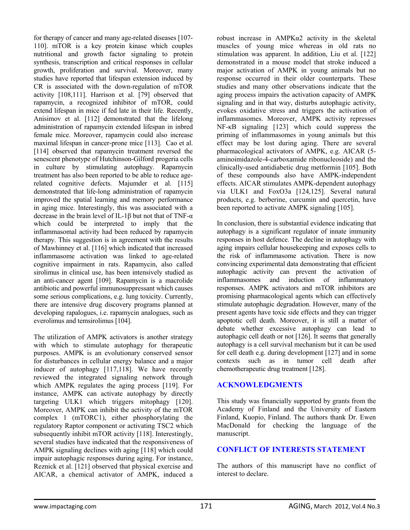for therapy of cancer and many age-related diseases [107- 110]. mTOR is a key protein kinase which couples nutritional and growth factor signaling to protein synthesis, transcription and critical responses in cellular growth, proliferation and survival. Moreover, many studies have reported that lifespan extension induced by CR is associated with the down-regulation of mTOR activity [108,111]. Harrison et al. [79] observed that rapamycin, a recognized inhibitor of mTOR, could extend lifespan in mice if fed late in their life. Recently, Anisimov et al. [112] demonstrated that the lifelong administration of rapamycin extended lifespan in inbred female mice. Moreover, rapamycin could also increase maximal lifespan in cancer-prone mice [113]. Cao et al. [114] observed that rapamycin treatment reversed the senescent phenotype of Hutchinson-Gilford progeria cells in culture by stimulating autophagy. Rapamycin treatment has also been reported to be able to reduce agerelated cognitive defects. Majumder et al. [115] demonstrated that life-long administration of rapamycin improved the spatial learning and memory performance in aging mice. Interestingly, this was associated with a decrease in the brain level of IL-1β but not that of TNF-α which could be interpreted to imply that the inflammasomal activity had been reduced by rapamycin therapy. This suggestion is in agreement with the results of Mawhinney et al. [116] which indicated that increased inflammasome activation was linked to age-related cognitive impairment in rats. Rapamycin, also called sirolimus in clinical use, has been intensively studied as an anti-cancer agent [109]. Rapamycin is a macrolide antibiotic and powerful immunosuppressant which causes some serious complications, e.g. lung toxicity. Currently, there are intensive drug discovery programs planned at developing rapalogues, i.e. rapamycin analogues, such as everolimus and temsirolimus [104].

The utilization of AMPK activators is another strategy with which to stimulate autophagy for the rapeutic purposes. AMPK is an evolutionary conserved sensor for disturbances in cellular energy balance and a major inducer of autophagy [117,118]. We have recently reviewed the integrated signaling network through which AMPK regulates the aging process [119]. For instance, AMPK can activate autophagy by directly targeting ULK1 which triggers mitophagy [120]. Moreover, AMPK can inhibit the activity of the mTOR complex 1 (mTORC1), either phosphorylating the regulatory Raptor component or activating TSC2 which subsequently inhibit mTOR activity [118]. Interestingly, several studies have indicated that the responsiveness of AMPK signaling declines with aging [118] which could impair autophagic responses during aging. For instance, Reznick et al. [121] observed that physical exercise and AICAR, a chemical activator of AMPK, induced a

robust increase in AMPKα2 activity in the skeletal muscles of young mice whereas in old rats no stimulation was apparent. In addition, Liu et al. [122] demonstrated in a mouse model that stroke induced a major activation of AMPK in young animals but no response occurred in their older counterparts. These studies and many other observations indicate that the aging process impairs the activation capacity of AMPK signaling and in that way, disturbs autophagic activity, evokes oxidative stress and triggers the activation of inflammasomes. Moreover, AMPK activity represses NF-κB signaling [123] which could suppress the priming of inflammasomes in young animals but this effect may be lost during aging. There are several pharmacological activators of AMPK, e.g. AICAR (5 aminoimidazole-4-carboxamide ribonucleoside) and the clinically-used antidiabetic drug metformin [105]. Both of these compounds also have AMPK-independent effects. AICAR stimulates AMPK-dependent autophagy via ULK1 and FoxO3a [124,125]. Several natural products, e.g. berberine, curcumin and quercetin, have been reported to activate AMPK signaling [105].

In conclusion, there is substantial evidence indicating that autophagy is a significant regulator of innate immunity responses in host defence. The decline in autophagy with aging impairs cellular housekeeping and exposes cells to the risk of inflammasome activation. There is now convincing experimental data demonstrating that efficient autophagic activity can prevent the activation of inflammasomes and induction of inflammatory responses. AMPK activators and mTOR inhibitors are promising pharmacological agents which can effectively stimulate autophagic degradation. However, many of the present agents have toxic side effects and they can trigger apoptotic cell death. Moreover, it is still a matter of debate whether excessive autophagy can lead to autophagic cell death or not [126]. It seems that generally autophagy is a cell survival mechanism but it can be used for cell death e.g. during development [127] and in some contexts such as in tumor cell death after chemotherapeutic drug treatment [128].

# **ACKNOWLEDGMENTS**

This study was financially supported by grants from the Academy of Finland and the University of Eastern Finland, Kuopio, Finland. The authors thank Dr. Ewen MacDonald for checking the language of the manuscript.

# **CONFLICT OF INTERESTS STATEMENT**

The authors of this manuscript have no conflict of interest to declare.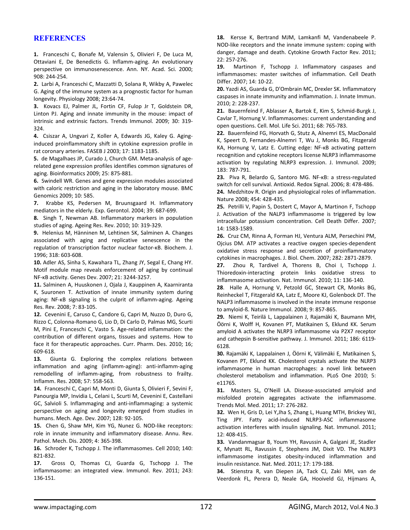## **REFERENCES**

**1.** Franceschi C, Bonafe M, Valensin S, Olivieri F, De Luca M, Ottaviani E, De Benedictis G. Inflamm‐aging. An evolutionary perspective on immunosenescence. Ann. NY. Acad. Sci. 2000; 908: 244‐254.

**2.** Larbi A, Franceschi C, Mazzatti D, Solana R, Wikby A, Pawelec G. Aging of the immune system as a prognostic factor for human longevity. Physiology 2008; 23:64‐74.

**3.** Kovacs EJ, Palmer JL, Fortin CF, Fulop Jr T, Goldstein DR, Linton PJ. Aging and innate immunity in the mouse: impact of intrinsic and extrinsic factors. Trends Immunol. 2009; 30: 319‐ 324.

**4.** Csiszar A, Ungvari Z, Koller A, Edwards JG, Kaley G. Aging‐ induced proinflammatory shift in cytokine expression profile in rat coronary arteries. FASEB J 2003; 17: 1183‐1185.

**5.** de Magalhaes JP, Curado J, Church GM. Meta‐analysis of age‐ related gene expression profiles identifies common signatures of aging. Bioinformatics 2009; 25: 875‐881.

**6.** Swindell WR. Genes and gene expression modules associated with caloric restriction and aging in the laboratory mouse. BMC Genomics 2009; 10: 585.

**7.** Krabbe KS, Pedersen M, Bruunsgaard H. Inflammatory mediators in the elderly. Exp. Gerontol. 2004; 39: 687‐699.

**8.** Singh T, Newman AB. Inflammatory markers in population studies of aging. Ageing Res. Rev. 2010; 10: 319‐329.

**9.** Helenius M, Hänninen M, Lehtinen SK, Salminen A. Changes associated with aging and replicative senescence in the regulation of transcription factor nuclear factor‐κB. Biochem. J. 1996; 318: 603‐608.

**10.** Adler AS, Sinha S, Kawahara TL, Zhang JY, Segal E, Chang HY. Motif module map reveals enforcement of aging by continual NF‐κB activity. Genes Dev. 2007; 21: 3244‐3257.

**11.** Salminen A, Huuskonen J, Ojala J, Kauppinen A, Kaarniranta K, Suuronen T. Activation of innate immunity system during aging: NF‐κB signaling is the culprit of inflamm‐aging. Ageing Res. Rev. 2008; 7: 83‐105.

**12.** Cevenini E, Caruso C, Candore G, Capri M, Nuzzo D, Duro G, Rizzo C, Colonna‐Romano G, Lio D, Di Carlo D, Palmas MG, Scurti M, Pini E, Franceschi C, Vasto S. Age-related inflammation: the contribution of different organs, tissues and systems. How to face it for therapeutic approaches. Curr. Pharm. Des. 2010; 16; 609‐618.

13. Giunta G. Exploring the complex relations between inflammation and aging (inflamm‐aging): anti‐inflamm‐aging remodelling of inflamm‐aging, from robustness to frailty. Inflamm. Res. 2008; 57: 558‐563.

**14.** Franceschi C, Capri M, Monti D, Giunta S, Olivieri F, Sevini F, Panourgia MP, Invidia L, Celani L, Scurti M, Cevenini E, Castellani GC, Salvioli S. Inflammaging and anti‐inflammaging: a systemic perspective on aging and longevity emerged from studies in humans. Mech. Age. Dev. 2007; 128: 92‐105.

15. Chen G, Shaw MH, Kim YG, Nunez G. NOD-like receptors: role in innate immunity and inflammatory disease. Annu. Rev. Pathol. Mech. Dis. 2009; 4: 365‐398.

**16.** Schroder K, Tschopp J. The inflammasomes. Cell 2010; 140: 821‐832.

**17.** Gross O, Thomas CJ, Guarda G, Tschopp J. The inflammasome: an integrated view. Immunol. Rev. 2011; 243: 136‐151.

**18.** Kersse K, Bertrand MJM, Lamkanfi M, Vandenabeele P. NOD‐like receptors and the innate immune system: coping with danger, damage and death. Cytokine Growth Factor Rev. 2011; 22: 257‐276.

**19.** Martinon F, Tschopp J. Inflammatory caspases and inflammasomes: master switches of inflammation. Cell Death Differ. 2007; 14: 10‐22.

**20.** Yazdi AS, Guarda G, D'Ombrain MC, Drexler SK. Inflammatory caspases in innate immunity and inflammation. J. Innate Immun. 2010; 2: 228‐237.

**21.** Bauernfeind F, Ablasser A, Bartok E, Kim S, Schmid‐Burgk J, Cavlar T, Hornung V. Inflammasomes: current understanding and open questions. Cell. Mol. Life Sci. 2011; 68: 765‐783.

**22.** Bauernfeind FG, Horvath G, Stutz A, Alnemri ES, MacDonald K, Speert D, Fernandes‐Alnemri T, Wu J, Monks BG, Fitzgerald KA, Hornung V, Latz E. Cutting edge: NF‐κB activating pattern recognition and cytokine receptors license NLRP3 inflammasome activation by regulating NLRP3 expression. J. Immunol. 2009; 183: 787‐791.

**23.** Piva R, Belardo G, Santoro MG. NF‐κB: a stress‐regulated switch for cell survival. Antioxid. Redox Signal. 2006; 8: 478‐486. **24.** Medzhitov R. Origin and physiological roles of inflammation. Nature 2008; 454: 428‐435.

**25.** Petrilli V, Papin S, Dostert C, Mayor A, Martinon F, Tschopp J. Activation of the NALP3 inflammasome is triggered by low intracellular potassium concentration. Cell Death Differ. 2007; 14: 1583‐1589.

**26.** Cruz CM, Rinna A, Forman HJ, Ventura ALM, Persechini PM, Ojcius DM. ATP activates a reactive oxygen species‐dependent oxidative stress response and secretion of proinflammatory cytokines in macrophages. J. Biol. Chem. 2007; 282: 2871‐2879.

**27.** Zhou R, Tardivel A, Thorens B, Choi I, Tschopp J. Thioredoxin‐interacting protein links oxidative stress to inflammasome activation. Nat. Immunol. 2010; 11: 136‐140.

**28**. Halle A, Hornung V, Petzold GC, Stewart CR, Monks BG, Reinheckel T, Fitzgerald KA, Latz E, Moore KJ, Golenbock DT. The NALP3 inflammasome is involved in the innate immune response to amyloid‐ß. Nature Immunol. 2008; 9: 857‐865.

**29.** Niemi K, Teirilä L, Lappalainen J, Rajamäki K, Baumann MH, Öörni K, Wolff H, Kovanen PT, Matikainen S, Eklund KK. Serum amyloid A activates the NLRP3 inflammasome via P2X7 receptor and cathepsin B-sensitive pathway. J. Immunol. 2011; 186: 6119-6128.

**30.** Rajamäki K, Lappalainen J, Öörni K, Välimäki E, Matikainen S, Kovanen PT, Eklund KK. Cholesterol crystals activate the NLRP3 inflammasome in human macrophages: a novel link between cholesterol metabolism and inflammation. PLoS One 2010; 5: e11765.

**31.** Masters SL, O'Neill LA. Disease‐associated amyloid and misfolded protein aggregates activate the inflammasome. Trends Mol. Med. 2011; 17: 276‐282.

**32.** Wen H, Gris D, Lei Y,Jha S, Zhang L, Huang MTH, Brickey WJ, Ting JPY. Fatty acid‐induced NLRP3‐ASC inflammasome activation interferes with insulin signaling. Nat. Immunol. 2011; 12: 408‐415.

**33.** Vandanmagsar B, Youm YH, Ravussin A, Galgani JE, Stadler K, Mynatt RL, Ravussin E, Stephens JM, Dixit VD. The NLRP3 inflammasome instigates obesity‐induced inflammation and insulin resistance. Nat. Med. 2011; 17: 179‐188.

**34.** Stienstra R, van Diepen JA, Tack CJ, Zaki MH, van de Veerdonk FL, Perera D, Neale GA, Hooiveld GJ, Hijmans A,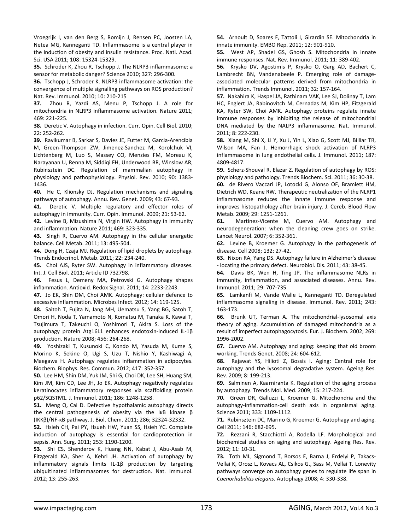Vroegrijk I, van den Berg S, Romijn J, Rensen PC, Joosten LA, Netea MG, Kanneganti TD. Inflammasome is a central player in the induction of obesity and insulin resistance. Proc. Natl. Acad. Sci. USA 2011; 108: 15324‐15329.

**35.** Schroder K, Zhou R, Tschopp J. The NLRP3 inflammasome: a sensor for metabolic danger? Science 2010; 327: 296‐300.

**36.** Tschopp J, Schroder K. NLRP3 inflammasome activation: the convergence of multiple signalling pathways on ROS production? Nat. Rev. Immunol. 2010; 10: 210‐215

**37.** Zhou R, Yazdi AS, Menu P, Tschopp J. A role for mitochondria in NLRP3 inflammasome activation. Nature 2011; 469: 221‐225.

**38.** Deretic V. Autophagy in infection. Curr. Opin. Cell Biol. 2010; 22: 252‐262.

**39.** Ravikumar B, Sarkar S, Davies JE, Futter M, Garcia‐Arencibia M, Green‐Thompson ZW, Jimenez‐Sanchez M, Korolchuk VI, Lichtenberg M, Luo S, Massey CO, Menzies FM, Moreau K, Narayanan U, Renna M, Siddiqi FH, Underwood BR, Winslow AR, Rubinsztein DC. Regulation of mammalian autophagy in physiology and pathophysiology. Physiol. Rev. 2010; 90: 1383‐ 1436.

**40.** He C, Klionsky DJ. Regulation mechanisms and signaling pathways of autophagy. Annu. Rev. Genet. 2009; 43: 67‐93.

41. Deretic V. Multiple regulatory and effector roles of autophagy in immunity. Curr. Opin. Immunol. 2009; 21: 53‐62.

**42.** Levine B, Mizushima N, Virgin HW. Autophagy in immunity and inflammation. Nature 2011; 469: 323‐335.

**43.** Singh R, Cuervo AM. Autophagy in the cellular energetic balance. Cell Metab. 2011; 13: 495‐504.

44. Dong H, Czaja MJ. Regulation of lipid droplets by autophagy. Trends Endocrinol. Metab. 2011; 22: 234‐240.

**45.** Choi AJS, Ryter SW. Autophagy in inflammatory diseases. Int. J. Cell Biol. 2011; Article ID 732798.

**46.** Fesus L, Demeny MA, Petrovski G. Autophagy shapes inflammation. Antioxid. Redox Signal. 2011; 14: 2233‐2243.

**47.** Jo EK, Shin DM, Choi AMK. Autophagy: cellular defence to excessive inflammation. Microbes Infect. 2012; 14: 119‐125.

**48.** Saitoh T, Fujita N, Jang MH, Uematsu S, Yang BG, Satoh T, Omori H, Noda T, Yamamoto N, Komatsu M, Tanaka K, Kawai T, Tsujimura T, Takeuchi O, Yoshimori T, Akira S. Loss of the autophagy protein Atg16L1 enhances endotoxin‐induced IL‐1β production. Nature 2008; 456: 264‐268.

**49.** Yoshizaki T, Kusunoki C, Kondo M, Yasuda M, Kume S, Morino K, Sekine O, Ugi S, Uzu T, Nishio Y, Kashiwagi A, Maegawa H. Autophagy regulates inflammation in adipocytes. Biochem. Biophys. Res. Commun. 2012; 417: 352‐357.

**50.** Lee HM, Shin DM, Yuk JM, Shi G, Choi DK, Lee SH, Huang SM, Kim JM, Kim CD, Lee JH, Jo EK. Autophagy negatively regulates keratinocytes inflammatory responses via scaffolding protein p62/SQSTM1. J. Immunol. 2011; 186: 1248‐1258.

**51.** Meng Q, Cai D. Defective hypothalamic autophagy directs the central pathogenesis of obesity via the IκB kinase β (IKKβ)/NF‐κB pathway. J. Biol. Chem. 2011; 286; 32324‐32332.

**52.** Hsieh CH, Pai PY, Hsueh HW, Yuan SS, Hsieh YC. Complete induction of autophagy is essential for cardioprotection in sepsis. Ann. Surg. 2011; 253: 1190‐1200.

**53.** Shi CS, Shenderov K, Huang NN, Kabat J, Abu‐Asab M, Fitzgerald KA, Sher A, Kehrl JH. Activation of autophagy by inflammatory signals limits IL‐1β production by targeting ubiquitinated inflammasomes for destruction. Nat. Immunol. 2012; 13: 255‐263.

**54.** Arnoult D, Soares F, Tattoli I, Girardin SE. Mitochondria in innate immunity. EMBO Rep. 2011; 12: 901‐910.

**55.** West AP, Shadel GS, Ghosh S. Mitochondria in innate immune responses. Nat. Rev. Immunol. 2011; 11: 389‐402.

**56.** Krysko DV, Agostimis P, Krysko O, Garg AD, Bachert C, Lambrecht BN, Vandenabeele P. Emerging role of damage‐ associated molecular patterns derived from mitochondria in inflammation. Trends Immunol. 2011; 32: 157‐164.

**57.** Nakahira K, Haspel JA, Rathinam VAK, Lee SJ, Dolinay T, Lam HC, Englert JA, Rabinovitch M, Cernadas M, Kim HP, Fitzgerald KA, Ryter SW, Choi AMK. Autophagy proteins regulate innate immune responses by inhibiting the release of mitochondrial DNA mediated by the NALP3 inflammasome. Nat. Immunol. 2011; 8: 222‐230.

**58.** Xiang M, Shi X, Li Y, Xu J, Yin L, Xiao G, Scott MJ, Billiar TR, Wilson MA, Fan J. Hemorrhagic shock activation of NLRP3 inflammasome in lung endothelial cells. J. Immunol. 2011; 187: 4809‐4817.

**59.** Scherz‐Shouval R, Elazar Z. Regulation of autophagy by ROS: physiology and pathology. Trends Biochem. Sci. 2011; 36: 30‐38. **60.** de Rivero Vaccari JP, Lotocki G, Alonso OF, Bramlett HM, Dietrich WD, Keane RW. Therapeutic neutralization of the NLRP1 inflammasome reduces the innate immune response and improves histopathology after brain injury. J. Cereb. Blood Flow Metab. 2009; 29: 1251‐1261.

**61.** Martinez‐Vicente M, Cuervo AM. Autophagy and neurodegeneration: when the cleaning crew goes on strike. Lancet Neurol. 2007; 6: 352‐361.

**62.** Levine B, Kroemer G. Autophagy in the pathogenesis of disease. Cell 2008; 132: 27‐42.

**63.** Nixon RA, Yang DS. Autophagy failure in Alzheimer's disease ‐ locating the primary defect. Neurobiol. Dis. 2011; 43: 38‐45.

**64.** Davis BK, Wen H, Ting JP. The inflammasome NLRs in immunity, inflammation, and associated diseases. Annu. Rev. Immunol. 2011; 29: 707‐735.

**65.** Lamkanfi M, Vande Walle L, Kanneganti TD. Deregulated inflammasome signaling in disease. Immunol. Rev. 2011; 243: 163‐173.

**66.** Brunk UT, Terman A. The mitochondrial‐lysosomal axis theory of aging. Accumulation of damaged mitochondria as a result of imperfect autophagocytosis. Eur. J. Biochem. 2002; 269: 1996‐2002.

**67.** Cuervo AM. Autophagy and aging: keeping that old broom working. Trends Genet. 2008; 24: 604‐612.

**68.** Rajawat YS, Hilioti Z, Bossis I. Aging: Central role for autophagy and the lysosomal degradative system. Ageing Res. Rev. 2009; 8: 199‐213.

**69.** Salminen A, Kaarniranta K. Regulation of the aging process by autophagy. Trends Mol. Med. 2009; 15: 217‐224.

**70.** Green DR, Galluzzi L, Kroemer G. Mitochondria and the autophagy‐inflammation‐cell death axis in organismal aging. Science 2011; 333: 1109‐1112.

**71.** Rubinsztein DC, Marino G, Kroemer G. Autophagy and aging. Cell 2011; 146: 682‐695.

**72.** Rezzani R, Stacchiotti A, Rodella LF. Morphological and biochemical studies on aging and autophagy. Ageing Res. Rev. 2012; 11: 10‐31.

**73.** Toth ML, Sigmond T, Borsos E, Barna J, Erdelyi P, Takacs‐ Vellai K, Orosz L, Kovacs AL, Csikos G., Sass M, Vellai T. Lonevity pathways converge on autophagy genes to regulate life span in *Caenorhabditis elegans*. Autophagy 2008; 4: 330‐338.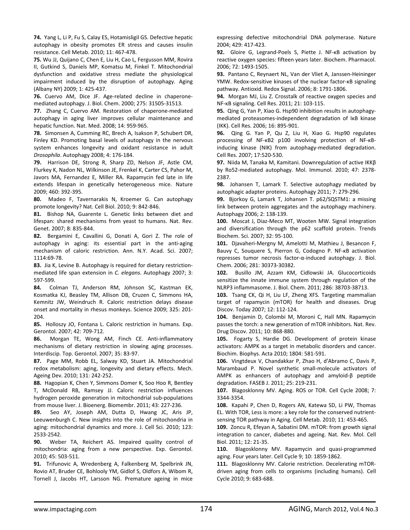**74.** Yang L, Li P, Fu S, Calay ES, Hotamisligil GS. Defective hepatic autophagy in obesity promotes ER stress and causes insulin resistance. Cell Metab. 2010; 11: 467‐478.

**75.** Wu JJ, Quijano C, Chen E, Liu H, Cao L, Fergusson MM, Rovira II, Gutkind S, Daniels MP, Komatsu M, Finkel T. Mitochondrial dysfunction and oxidative stress mediate the physiological impairment induced by the disruption of autophagy. Aging (Albany NY) 2009; 1: 425‐437.

**76.** Cuervo AM, Dice JF. Age‐related decline in chaperone‐ mediated autophagy. J. Biol. Chem. 2000; 275: 31505‐31513.

77. Zhang C, Cuervo AM. Restoration of chaperone-mediated autophagy in aging liver improves cellular maintenance and hepatic function. Nat. Med. 2008; 14: 959‐965.

**78.** Simonsen A, Cumming RC, Brech A, Isakson P, Schubert DR, Finley KD. Promoting basal levels of autophagy in the nervous system enhances longevity and oxidant resistance in adult *Drosophila*. Autophagy 2008; 4: 176‐184.

**79.** Harrison DE, Strong R, Sharp ZD, Nelson JF, Astle CM, Flurkey K, Nadon NL, Wilkinson JE, Frenkel K, Carter CS, Pahor M, Javors MA, Fernandez E, Miller RA. Rapamycin fed late in life extends lifespan in genetically heterogeneous mice. Nature 2009; 460: 392‐395.

**80.** Madeo F, Tavernarakis N, Kroemer G. Can autophagy promote longevity? Nat. Cell Biol. 2010; 9: 842‐846.

**81.** Bishop NA, Guarente L. Genetic links between diet and lifespan: shared mechanisms from yeast to humans. Nat. Rev. Genet. 2007; 8: 835‐844.

**82.** Bergamini E, Cavallini G, Donati A, Gori Z. The role of autophagy in aging: its essential part in the anti‐aging mechanism of caloric restriction. Ann. N.Y. Acad. Sci. 2007; 1114:69‐78.

**83.** Jia K, Levine B. Autophagy is required for dietary restriction‐ mediated life span extension in *C. elegans*. Autophagy 2007; 3: 597‐599.

**84.** Colman TJ, Anderson RM, Johnson SC, Kastman EK, Kosmatka KJ, Beasley TM, Allison DB, Cruzen C, Simmons HA, Kemnitz JW, Weindruch R. Caloric restriction delays disease onset and mortality in rhesus monkeys. Science 2009; 325: 201‐ 204.

**85.** Holloszy JO, Fontana L. Caloric restriction in humans. Exp. Gerontol. 2007; 42: 709‐712.

**86.** Morgan TE, Wong AM, Finch CE. Anti‐inflammatory mechanisms of dietary restriction in slowing aging processes. Interdiscip. Top. Gerontol. 2007; 35: 83‐97.

**87.** Page MM, Robb EL, Salway KD, Stuart JA. Mitochondrial redox metabolism: aging, longevity and dietary effects. Mech. Ageing Dev. 2010; 131: 242‐252.

**88.** Hagopian K, Chen Y, Simmons Domer K, Soo Hoo R, Bentley T, McDonald RB, Ramsey JJ. Caloric restriction influences hydrogen peroxide generation in mitochondrial sub‐populations from mouse liver. J. Bioenerg. Biomembr. 2011; 43: 227‐236.

**89.** Seo AY, Joseph AM, Dutta D, Hwang JC, Aris JP, Leeuwenburgh C. New insights into the role of mitochondria in aging: mitochondrial dynamics and more. J. Cell Sci. 2010; 123: 2533‐2542.

**90.** Weber TA, Reichert AS. Impaired quality control of mitochondria: aging from a new perspective. Exp. Gerontol. 2010; 45: 503‐511.

**91.** Trifunovic A, Wredenberg A, Falkenberg M, Spelbrink JN, Rovio AT, Bruder CE, Bohlooly YM, Gidlof S, Oldfors A, Wibom R, Tornell J, Jacobs HT, Larsson NG. Premature ageing in mice

expressing defective mitochondrial DNA polymerase. Nature 2004; 429: 417‐423.

**92.** Gloire G, Legrand‐Poels S, Piette J. NF‐κB activation by reactive oxygen species: fifteen years later. Biochem. Pharmacol. 2006; 72: 1493‐1505.

**93.** Pantano C, Reynaert NL, Van der Vliet A, Janssen‐Heininger YMW. Redox-sensitive kinases of the nuclear factor-KB signaling pathway. Antioxid. Redox Signal. 2006; 8: 1791‐1806.

**94.** Morgan MJ, Liu Z. Crosstalk of reactive oxygen species and NF‐κB signaling. Cell Res. 2011; 21: 103‐115.

**95.** Qing G, Yan P, Xiao G. Hsp90 inhibition results in autophagy‐ mediated proteasomes‐independent degradation of IκB kinase (IKK). Cell Res. 2006; 16: 895‐901.

**96.** Qing G. Yan P, Qu Z, Liu H, Xiao G. Hsp90 regulates processing of NF‐κB2 p100 involving protection of NF‐κB‐ inducing kinase (NIK) from autophagy‐mediated degradation. Cell Res. 2007; 17:520‐530.

**97.** Niida M, Tanaka M, Kamitani. Downregulation of active IKKβ by Ro52‐mediated autophagy. Mol. Immunol. 2010; 47: 2378‐ 2387.

**98.** Johansen T, Lamark T. Selective autophagy mediated by autophagic adapter proteins. Autophagy 2011; 7: 279‐296.

**99.** Bjorkoy G, Lamark T, Johansen T. p62/SQSTM1: a missing link between protein aggregates and the autophagy machinery. Autophagy 2006; 2: 138‐139.

100. Moscat J, Diaz-Meco MT, Wooten MW. Signal integration and diversification through the p62 scaffold protein. Trends Biochem. Sci. 2007; 32: 95‐100.

**101.** Djavaheri‐Mergny M, Amelotti M, Mathieu J, Besancon F, Bauvy C, Souquere S, Pierron G, Codogno P. NF‐κB activation represses tumor necrosis factor‐α‐induced autophagy. J. Biol. Chem. 2006; 281: 30373‐30382.

**102.** Busillo JM, Azzam KM, Cidlowski JA. Glucocorticoids sensitize the innate immune system through regulation of the NLRP3 inflammasome. J. Biol. Chem. 2011; 286: 38703‐38713.

**103.** Tsang CK, Qi H, Liu LF, Zheng XFS. Targeting mammalian target of rapamycin (mTOR) for health and diseases. Drug Discov. Today 2007; 12: 112‐124.

**104.** Benjamin D, Colombi M, Moroni C, Hall MN. Rapamycin passes the torch: a new generation of mTOR inhibitors. Nat. Rev. Drug Discov. 2011; 10: 868‐880.

**105.** Fogarty S, Hardie DG. Development of protein kinase activators: AMPK as a target in metabolic disorders and cancer. Biochim. Biophys. Acta 2010; 1804: 581‐591.

**106.** Vingtdeux V, Chandakkar P, Zhao H, d'Abramo C, Davis P, Marambaud P. Novel synthetic small‐molecule activators of AMPK as enhancers of autophagy and amyloid‐β peptide degradation. FASEB J. 2011; 25: 219‐231.

**107.** Blagosklonny MV. Aging. ROS or TOR. Cell Cycle 2008; 7: 3344‐3354.

**108.** Kapahi P, Chen D, Rogers AN, Katewa SD, Li PW, Thomas EL. With TOR, Less is more: a key role for the conserved nutrient‐ sensing TOR pathway in Aging. Cell Metab. 2010; 11: 453‐465.

**109.** Zoncu R, Efeyan A, Sabatini DM. mTOR: from growth signal integration to cancer, diabetes and ageing. Nat. Rev. Mol. Cell Biol. 2011; 12: 21‐35.

**110.** Blagosklonny MV. Rapamycin and quasi‐programmed aging. Four years later. Cell Cycle 9; 10: 1859‐1862.

**111.** Blagosklonny MV. Calorie restriction. Decelerating mTOR‐ driven aging from cells to organisms (including humans). Cell Cycle 2010; 9: 683‐688.